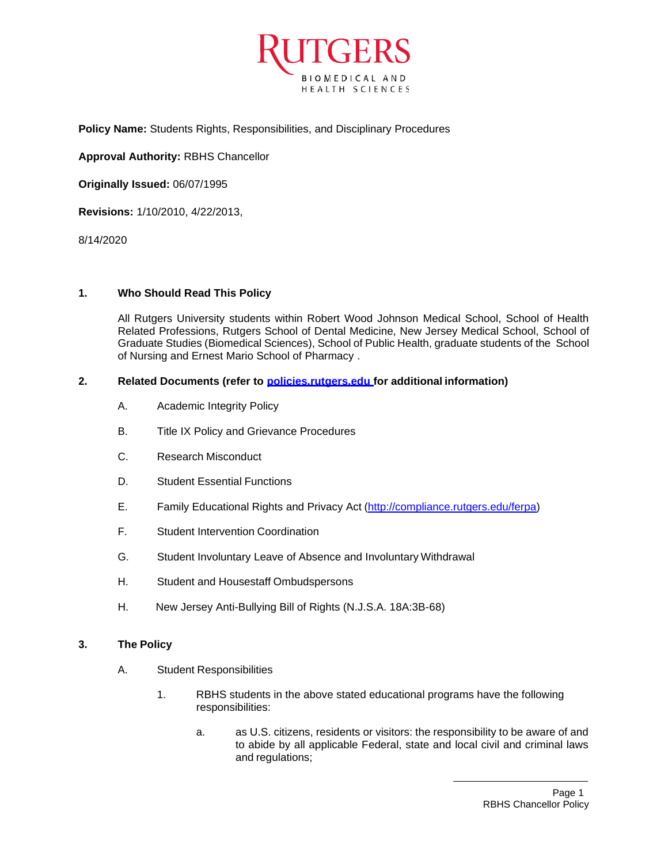

**Policy Name:** Students Rights, Responsibilities, and Disciplinary Procedures

**Approval Authority:** RBHS Chancellor

**Originally Issued:** 06/07/1995

**Revisions:** 1/10/2010, 4/22/2013,

8/14/2020

#### **1. Who Should Read This Policy**

All Rutgers University students within Robert Wood Johnson Medical School, School of Health Related Professions, Rutgers School of Dental Medicine, New Jersey Medical School, School of Graduate Studies (Biomedical Sciences), School of Public Health, graduate students of the School of Nursing and Ernest Mario School of Pharmacy .

# **2. Related Documents (refer to policies.rutgers.edu for additional information)**

- A. Academic Integrity Policy
- B. Title IX Policy and Grievance Procedures
- C. Research Misconduct
- D. Student Essential Functions
- E. Family Educational Rights and Privacy Act [\(http://compliance.rutgers.edu/ferpa\)](http://compliance.rutgers.edu/ferpa)
- F. Student Intervention Coordination
- G. Student Involuntary Leave of Absence and Involuntary Withdrawal
- H. Student and Housestaff Ombudspersons
- H. New Jersey Anti-Bullying Bill of Rights (N.J.S.A. 18A:3B-68)

#### **3. The Policy**

- A. Student Responsibilities
	- 1. RBHS students in the above stated educational programs have the following responsibilities:
		- a. as U.S. citizens, residents or visitors: the responsibility to be aware of and to abide by all applicable Federal, state and local civil and criminal laws and regulations;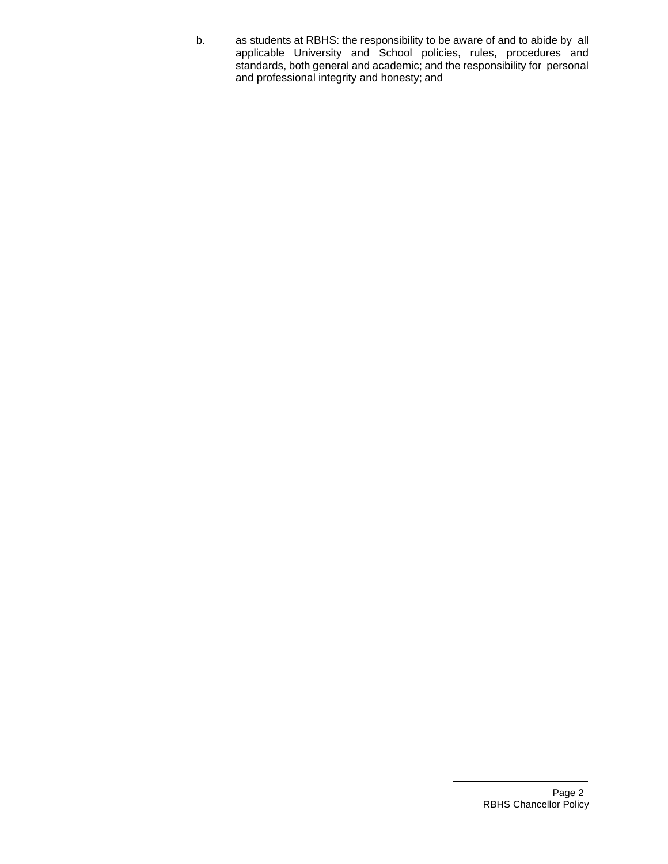b. as students at RBHS: the responsibility to be aware of and to abide by all applicable University and School policies, rules, procedures and standards, both general and academic; and the responsibility for personal and professional integrity and honesty; and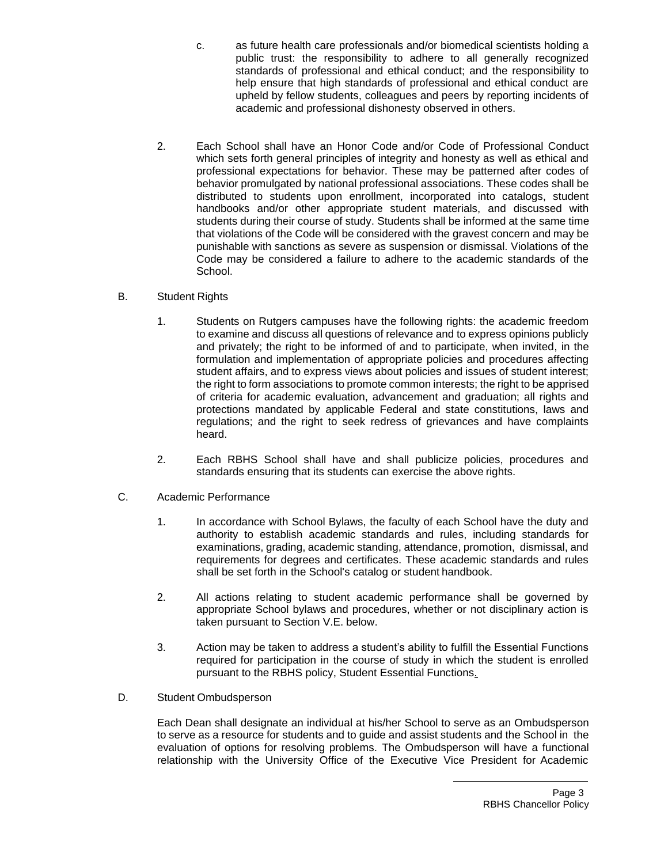- c. as future health care professionals and/or biomedical scientists holding a public trust: the responsibility to adhere to all generally recognized standards of professional and ethical conduct; and the responsibility to help ensure that high standards of professional and ethical conduct are upheld by fellow students, colleagues and peers by reporting incidents of academic and professional dishonesty observed in others.
- 2. Each School shall have an Honor Code and/or Code of Professional Conduct which sets forth general principles of integrity and honesty as well as ethical and professional expectations for behavior. These may be patterned after codes of behavior promulgated by national professional associations. These codes shall be distributed to students upon enrollment, incorporated into catalogs, student handbooks and/or other appropriate student materials, and discussed with students during their course of study. Students shall be informed at the same time that violations of the Code will be considered with the gravest concern and may be punishable with sanctions as severe as suspension or dismissal. Violations of the Code may be considered a failure to adhere to the academic standards of the School.
- B. Student Rights
	- 1. Students on Rutgers campuses have the following rights: the academic freedom to examine and discuss all questions of relevance and to express opinions publicly and privately; the right to be informed of and to participate, when invited, in the formulation and implementation of appropriate policies and procedures affecting student affairs, and to express views about policies and issues of student interest; the right to form associations to promote common interests; the right to be apprised of criteria for academic evaluation, advancement and graduation; all rights and protections mandated by applicable Federal and state constitutions, laws and regulations; and the right to seek redress of grievances and have complaints heard.
	- 2. Each RBHS School shall have and shall publicize policies, procedures and standards ensuring that its students can exercise the above rights.
- C. Academic Performance
	- 1. In accordance with School Bylaws, the faculty of each School have the duty and authority to establish academic standards and rules, including standards for examinations, grading, academic standing, attendance, promotion, dismissal, and requirements for degrees and certificates. These academic standards and rules shall be set forth in the School's catalog or student handbook.
	- 2. All actions relating to student academic performance shall be governed by appropriate School bylaws and procedures, whether or not disciplinary action is taken pursuant to Section V.E. below.
	- 3. Action may be taken to address a student's ability to fulfill the Essential Functions required for participation in the course of study in which the student is enrolled pursuant to the RBHS policy, Student Essential Functions.
- D. Student Ombudsperson

Each Dean shall designate an individual at his/her School to serve as an Ombudsperson to serve as a resource for students and to guide and assist students and the School in the evaluation of options for resolving problems. The Ombudsperson will have a functional relationship with the University Office of the Executive Vice President for Academic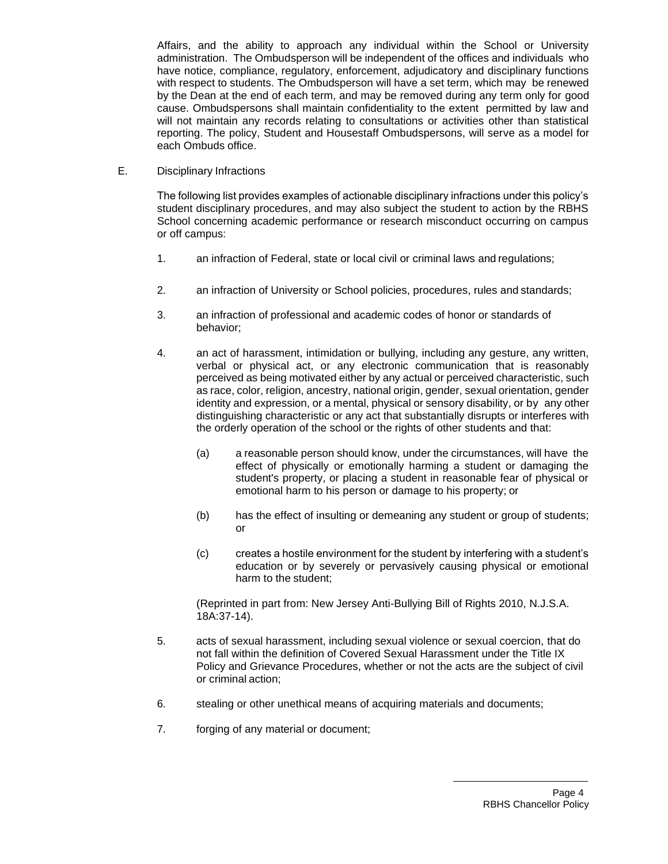Affairs, and the ability to approach any individual within the School or University administration. The Ombudsperson will be independent of the offices and individuals who have notice, compliance, regulatory, enforcement, adjudicatory and disciplinary functions with respect to students. The Ombudsperson will have a set term, which may be renewed by the Dean at the end of each term, and may be removed during any term only for good cause. Ombudspersons shall maintain confidentiality to the extent permitted by law and will not maintain any records relating to consultations or activities other than statistical reporting. The policy, Student and Housestaff Ombudspersons, will serve as a model for each Ombuds office.

E. Disciplinary Infractions

The following list provides examples of actionable disciplinary infractions under this policy's student disciplinary procedures, and may also subject the student to action by the RBHS School concerning academic performance or research misconduct occurring on campus or off campus:

- 1. an infraction of Federal, state or local civil or criminal laws and regulations;
- 2. an infraction of University or School policies, procedures, rules and standards;
- 3. an infraction of professional and academic codes of honor or standards of behavior;
- 4. an act of harassment, intimidation or bullying, including any gesture, any written, verbal or physical act, or any electronic communication that is reasonably perceived as being motivated either by any actual or perceived characteristic, such as race, color, religion, ancestry, national origin, gender, sexual orientation, gender identity and expression, or a mental, physical or sensory disability, or by any other distinguishing characteristic or any act that substantially disrupts or interferes with the orderly operation of the school or the rights of other students and that:
	- (a) a reasonable person should know, under the circumstances, will have the effect of physically or emotionally harming a student or damaging the student's property, or placing a student in reasonable fear of physical or emotional harm to his person or damage to his property; or
	- (b) has the effect of insulting or demeaning any student or group of students; or
	- (c) creates a hostile environment for the student by interfering with a student's education or by severely or pervasively causing physical or emotional harm to the student;

(Reprinted in part from: New Jersey Anti-Bullying Bill of Rights 2010, N.J.S.A. 18A:37-14).

- 5. acts of sexual harassment, including sexual violence or sexual coercion, that do not fall within the definition of Covered Sexual Harassment under the Title IX Policy and Grievance Procedures, whether or not the acts are the subject of civil or criminal action;
- 6. stealing or other unethical means of acquiring materials and documents;
- 7. forging of any material or document;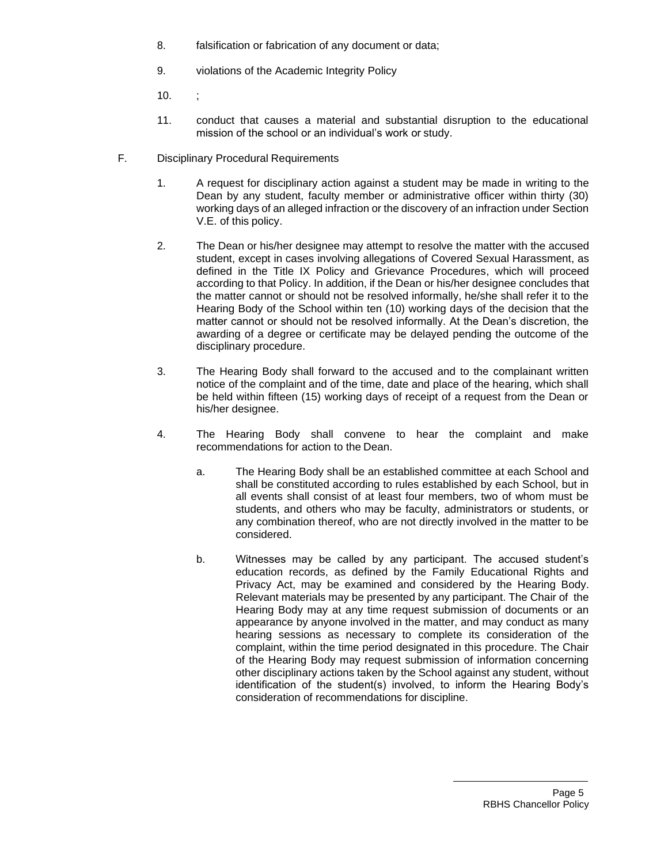- 8. falsification or fabrication of any document or data;
- 9. violations of the Academic Integrity Policy
- 10. ;
- 11. conduct that causes a material and substantial disruption to the educational mission of the school or an individual's work or study.
- F. Disciplinary Procedural Requirements
	- 1. A request for disciplinary action against a student may be made in writing to the Dean by any student, faculty member or administrative officer within thirty (30) working days of an alleged infraction or the discovery of an infraction under Section V.E. of this policy.
	- 2. The Dean or his/her designee may attempt to resolve the matter with the accused student, except in cases involving allegations of Covered Sexual Harassment, as defined in the Title IX Policy and Grievance Procedures, which will proceed according to that Policy. In addition, if the Dean or his/her designee concludes that the matter cannot or should not be resolved informally, he/she shall refer it to the Hearing Body of the School within ten (10) working days of the decision that the matter cannot or should not be resolved informally. At the Dean's discretion, the awarding of a degree or certificate may be delayed pending the outcome of the disciplinary procedure.
	- 3. The Hearing Body shall forward to the accused and to the complainant written notice of the complaint and of the time, date and place of the hearing, which shall be held within fifteen (15) working days of receipt of a request from the Dean or his/her designee.
	- 4. The Hearing Body shall convene to hear the complaint and make recommendations for action to the Dean.
		- a. The Hearing Body shall be an established committee at each School and shall be constituted according to rules established by each School, but in all events shall consist of at least four members, two of whom must be students, and others who may be faculty, administrators or students, or any combination thereof, who are not directly involved in the matter to be considered.
		- b. Witnesses may be called by any participant. The accused student's education records, as defined by the Family Educational Rights and Privacy Act, may be examined and considered by the Hearing Body. Relevant materials may be presented by any participant. The Chair of the Hearing Body may at any time request submission of documents or an appearance by anyone involved in the matter, and may conduct as many hearing sessions as necessary to complete its consideration of the complaint, within the time period designated in this procedure. The Chair of the Hearing Body may request submission of information concerning other disciplinary actions taken by the School against any student, without identification of the student(s) involved, to inform the Hearing Body's consideration of recommendations for discipline.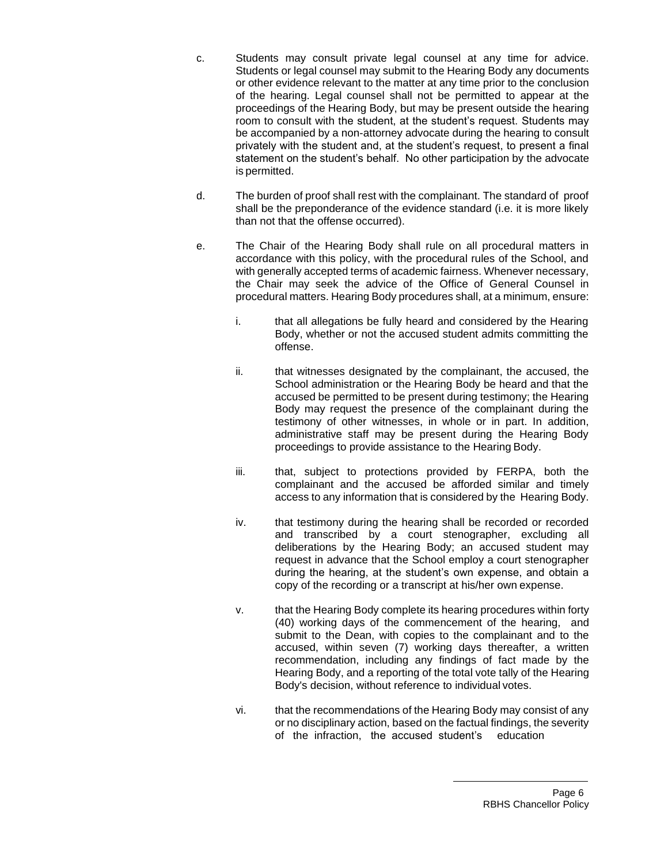- c. Students may consult private legal counsel at any time for advice. Students or legal counsel may submit to the Hearing Body any documents or other evidence relevant to the matter at any time prior to the conclusion of the hearing. Legal counsel shall not be permitted to appear at the proceedings of the Hearing Body, but may be present outside the hearing room to consult with the student, at the student's request. Students may be accompanied by a non-attorney advocate during the hearing to consult privately with the student and, at the student's request, to present a final statement on the student's behalf. No other participation by the advocate is permitted.
- d. The burden of proof shall rest with the complainant. The standard of proof shall be the preponderance of the evidence standard (i.e. it is more likely than not that the offense occurred).
- e. The Chair of the Hearing Body shall rule on all procedural matters in accordance with this policy, with the procedural rules of the School, and with generally accepted terms of academic fairness. Whenever necessary, the Chair may seek the advice of the Office of General Counsel in procedural matters. Hearing Body procedures shall, at a minimum, ensure:
	- i. that all allegations be fully heard and considered by the Hearing Body, whether or not the accused student admits committing the offense.
	- ii. that witnesses designated by the complainant, the accused, the School administration or the Hearing Body be heard and that the accused be permitted to be present during testimony; the Hearing Body may request the presence of the complainant during the testimony of other witnesses, in whole or in part. In addition, administrative staff may be present during the Hearing Body proceedings to provide assistance to the Hearing Body.
	- iii. that, subject to protections provided by FERPA, both the complainant and the accused be afforded similar and timely access to any information that is considered by the Hearing Body.
	- iv. that testimony during the hearing shall be recorded or recorded and transcribed by a court stenographer, excluding all deliberations by the Hearing Body; an accused student may request in advance that the School employ a court stenographer during the hearing, at the student's own expense, and obtain a copy of the recording or a transcript at his/her own expense.
	- v. that the Hearing Body complete its hearing procedures within forty (40) working days of the commencement of the hearing, and submit to the Dean, with copies to the complainant and to the accused, within seven (7) working days thereafter, a written recommendation, including any findings of fact made by the Hearing Body, and a reporting of the total vote tally of the Hearing Body's decision, without reference to individual votes.
	- vi. that the recommendations of the Hearing Body may consist of any or no disciplinary action, based on the factual findings, the severity of the infraction, the accused student's education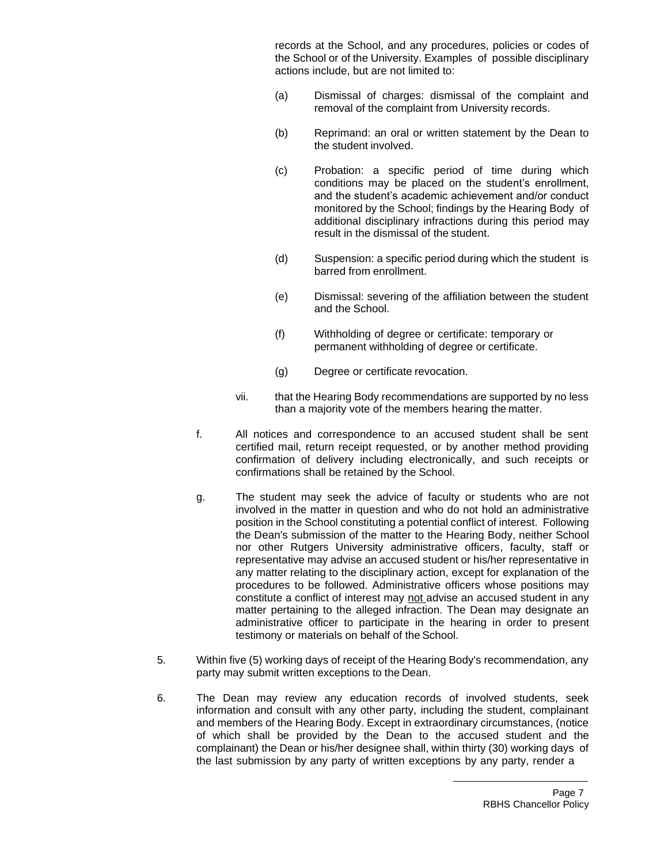records at the School, and any procedures, policies or codes of the School or of the University. Examples of possible disciplinary actions include, but are not limited to:

- (a) Dismissal of charges: dismissal of the complaint and removal of the complaint from University records.
- (b) Reprimand: an oral or written statement by the Dean to the student involved.
- (c) Probation: a specific period of time during which conditions may be placed on the student's enrollment, and the student's academic achievement and/or conduct monitored by the School; findings by the Hearing Body of additional disciplinary infractions during this period may result in the dismissal of the student.
- (d) Suspension: a specific period during which the student is barred from enrollment.
- (e) Dismissal: severing of the affiliation between the student and the School.
- (f) Withholding of degree or certificate: temporary or permanent withholding of degree or certificate.
- (g) Degree or certificate revocation.
- vii. that the Hearing Body recommendations are supported by no less than a majority vote of the members hearing the matter.
- f. All notices and correspondence to an accused student shall be sent certified mail, return receipt requested, or by another method providing confirmation of delivery including electronically, and such receipts or confirmations shall be retained by the School.
- g. The student may seek the advice of faculty or students who are not involved in the matter in question and who do not hold an administrative position in the School constituting a potential conflict of interest. Following the Dean's submission of the matter to the Hearing Body, neither School nor other Rutgers University administrative officers, faculty, staff or representative may advise an accused student or his/her representative in any matter relating to the disciplinary action, except for explanation of the procedures to be followed. Administrative officers whose positions may constitute a conflict of interest may not advise an accused student in any matter pertaining to the alleged infraction. The Dean may designate an administrative officer to participate in the hearing in order to present testimony or materials on behalf of the School.
- 5. Within five (5) working days of receipt of the Hearing Body's recommendation, any party may submit written exceptions to the Dean.
- 6. The Dean may review any education records of involved students, seek information and consult with any other party, including the student, complainant and members of the Hearing Body. Except in extraordinary circumstances, (notice of which shall be provided by the Dean to the accused student and the complainant) the Dean or his/her designee shall, within thirty (30) working days of the last submission by any party of written exceptions by any party, render a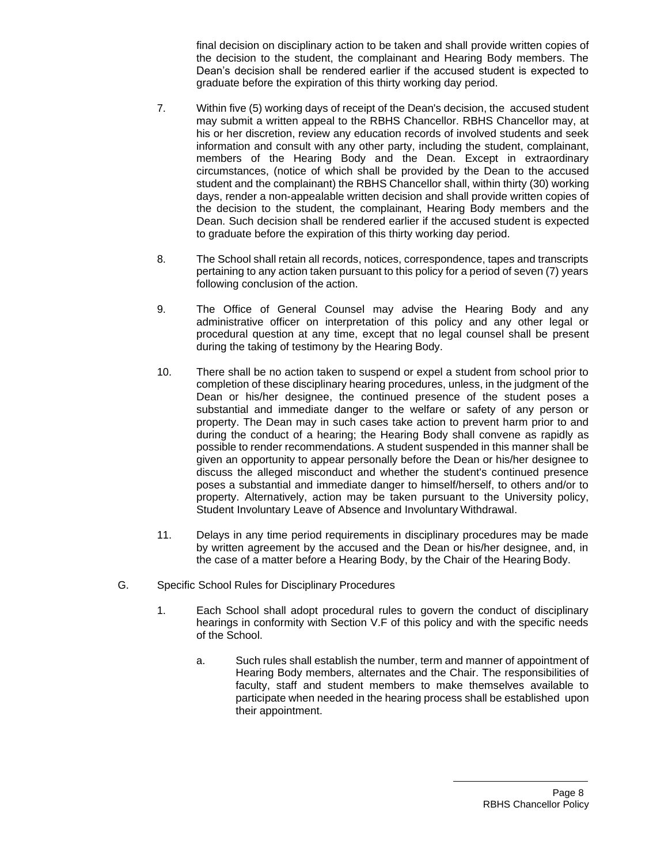final decision on disciplinary action to be taken and shall provide written copies of the decision to the student, the complainant and Hearing Body members. The Dean's decision shall be rendered earlier if the accused student is expected to graduate before the expiration of this thirty working day period.

- 7. Within five (5) working days of receipt of the Dean's decision, the accused student may submit a written appeal to the RBHS Chancellor. RBHS Chancellor may, at his or her discretion, review any education records of involved students and seek information and consult with any other party, including the student, complainant, members of the Hearing Body and the Dean. Except in extraordinary circumstances, (notice of which shall be provided by the Dean to the accused student and the complainant) the RBHS Chancellor shall, within thirty (30) working days, render a non-appealable written decision and shall provide written copies of the decision to the student, the complainant, Hearing Body members and the Dean. Such decision shall be rendered earlier if the accused student is expected to graduate before the expiration of this thirty working day period.
- 8. The School shall retain all records, notices, correspondence, tapes and transcripts pertaining to any action taken pursuant to this policy for a period of seven (7) years following conclusion of the action.
- 9. The Office of General Counsel may advise the Hearing Body and any administrative officer on interpretation of this policy and any other legal or procedural question at any time, except that no legal counsel shall be present during the taking of testimony by the Hearing Body.
- 10. There shall be no action taken to suspend or expel a student from school prior to completion of these disciplinary hearing procedures, unless, in the judgment of the Dean or his/her designee, the continued presence of the student poses a substantial and immediate danger to the welfare or safety of any person or property. The Dean may in such cases take action to prevent harm prior to and during the conduct of a hearing; the Hearing Body shall convene as rapidly as possible to render recommendations. A student suspended in this manner shall be given an opportunity to appear personally before the Dean or his/her designee to discuss the alleged misconduct and whether the student's continued presence poses a substantial and immediate danger to himself/herself, to others and/or to property. Alternatively, action may be taken pursuant to the University policy, Student Involuntary Leave of Absence and Involuntary Withdrawal.
- 11. Delays in any time period requirements in disciplinary procedures may be made by written agreement by the accused and the Dean or his/her designee, and, in the case of a matter before a Hearing Body, by the Chair of the Hearing Body.
- G. Specific School Rules for Disciplinary Procedures
	- 1. Each School shall adopt procedural rules to govern the conduct of disciplinary hearings in conformity with Section V.F of this policy and with the specific needs of the School.
		- a. Such rules shall establish the number, term and manner of appointment of Hearing Body members, alternates and the Chair. The responsibilities of faculty, staff and student members to make themselves available to participate when needed in the hearing process shall be established upon their appointment.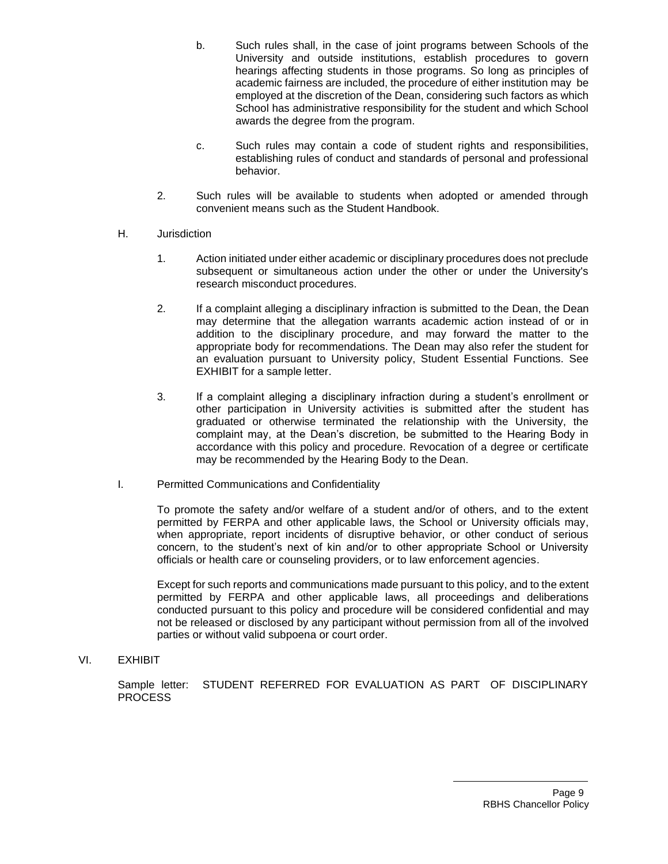- b. Such rules shall, in the case of joint programs between Schools of the University and outside institutions, establish procedures to govern hearings affecting students in those programs. So long as principles of academic fairness are included, the procedure of either institution may be employed at the discretion of the Dean, considering such factors as which School has administrative responsibility for the student and which School awards the degree from the program.
- c. Such rules may contain a code of student rights and responsibilities, establishing rules of conduct and standards of personal and professional behavior.
- 2. Such rules will be available to students when adopted or amended through convenient means such as the Student Handbook.
- H. Jurisdiction
	- 1. Action initiated under either academic or disciplinary procedures does not preclude subsequent or simultaneous action under the other or under the University's research misconduct procedures.
	- 2. If a complaint alleging a disciplinary infraction is submitted to the Dean, the Dean may determine that the allegation warrants academic action instead of or in addition to the disciplinary procedure, and may forward the matter to the appropriate body for recommendations. The Dean may also refer the student for an evaluation pursuant to University policy, Student Essential Functions. See EXHIBIT for a sample letter.
	- 3. If a complaint alleging a disciplinary infraction during a student's enrollment or other participation in University activities is submitted after the student has graduated or otherwise terminated the relationship with the University, the complaint may, at the Dean's discretion, be submitted to the Hearing Body in accordance with this policy and procedure. Revocation of a degree or certificate may be recommended by the Hearing Body to the Dean.
- I. Permitted Communications and Confidentiality

To promote the safety and/or welfare of a student and/or of others, and to the extent permitted by FERPA and other applicable laws, the School or University officials may, when appropriate, report incidents of disruptive behavior, or other conduct of serious concern, to the student's next of kin and/or to other appropriate School or University officials or health care or counseling providers, or to law enforcement agencies.

Except for such reports and communications made pursuant to this policy, and to the extent permitted by FERPA and other applicable laws, all proceedings and deliberations conducted pursuant to this policy and procedure will be considered confidential and may not be released or disclosed by any participant without permission from all of the involved parties or without valid subpoena or court order.

VI. EXHIBIT

Sample letter: STUDENT REFERRED FOR EVALUATION AS PART OF DISCIPLINARY PROCESS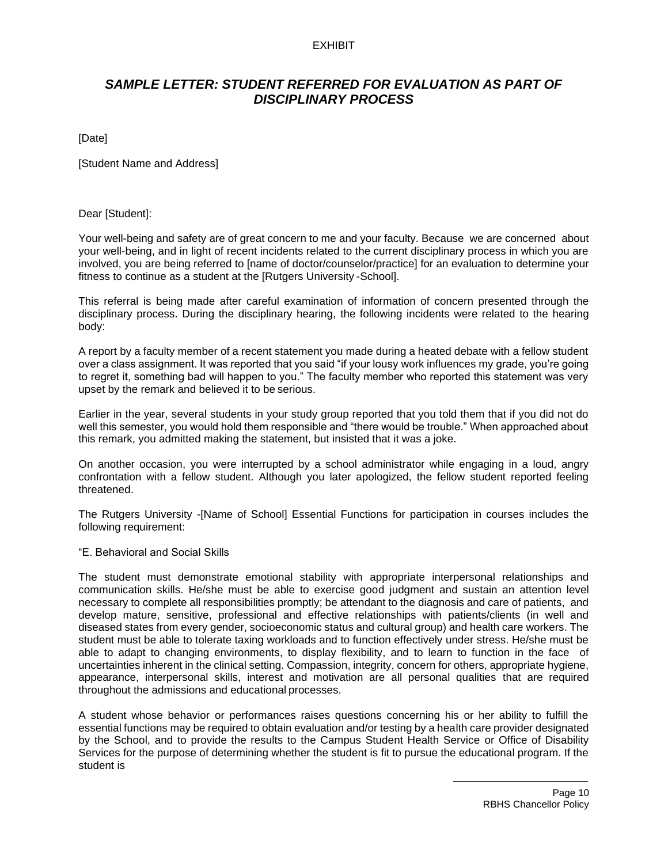## EXHIBIT

# *SAMPLE LETTER: STUDENT REFERRED FOR EVALUATION AS PART OF DISCIPLINARY PROCESS*

[Date]

[Student Name and Address]

## Dear [Student]:

Your well-being and safety are of great concern to me and your faculty. Because we are concerned about your well-being, and in light of recent incidents related to the current disciplinary process in which you are involved, you are being referred to [name of doctor/counselor/practice] for an evaluation to determine your fitness to continue as a student at the [Rutgers University -School].

This referral is being made after careful examination of information of concern presented through the disciplinary process. During the disciplinary hearing, the following incidents were related to the hearing body:

A report by a faculty member of a recent statement you made during a heated debate with a fellow student over a class assignment. It was reported that you said "if your lousy work influences my grade, you're going to regret it, something bad will happen to you." The faculty member who reported this statement was very upset by the remark and believed it to be serious.

Earlier in the year, several students in your study group reported that you told them that if you did not do well this semester, you would hold them responsible and "there would be trouble." When approached about this remark, you admitted making the statement, but insisted that it was a joke.

On another occasion, you were interrupted by a school administrator while engaging in a loud, angry confrontation with a fellow student. Although you later apologized, the fellow student reported feeling threatened.

The Rutgers University -[Name of School] Essential Functions for participation in courses includes the following requirement:

## "E. Behavioral and Social Skills

The student must demonstrate emotional stability with appropriate interpersonal relationships and communication skills. He/she must be able to exercise good judgment and sustain an attention level necessary to complete all responsibilities promptly; be attendant to the diagnosis and care of patients, and develop mature, sensitive, professional and effective relationships with patients/clients (in well and diseased states from every gender, socioeconomic status and cultural group) and health care workers. The student must be able to tolerate taxing workloads and to function effectively under stress. He/she must be able to adapt to changing environments, to display flexibility, and to learn to function in the face of uncertainties inherent in the clinical setting. Compassion, integrity, concern for others, appropriate hygiene, appearance, interpersonal skills, interest and motivation are all personal qualities that are required throughout the admissions and educational processes.

A student whose behavior or performances raises questions concerning his or her ability to fulfill the essential functions may be required to obtain evaluation and/or testing by a health care provider designated by the School, and to provide the results to the Campus Student Health Service or Office of Disability Services for the purpose of determining whether the student is fit to pursue the educational program. If the student is